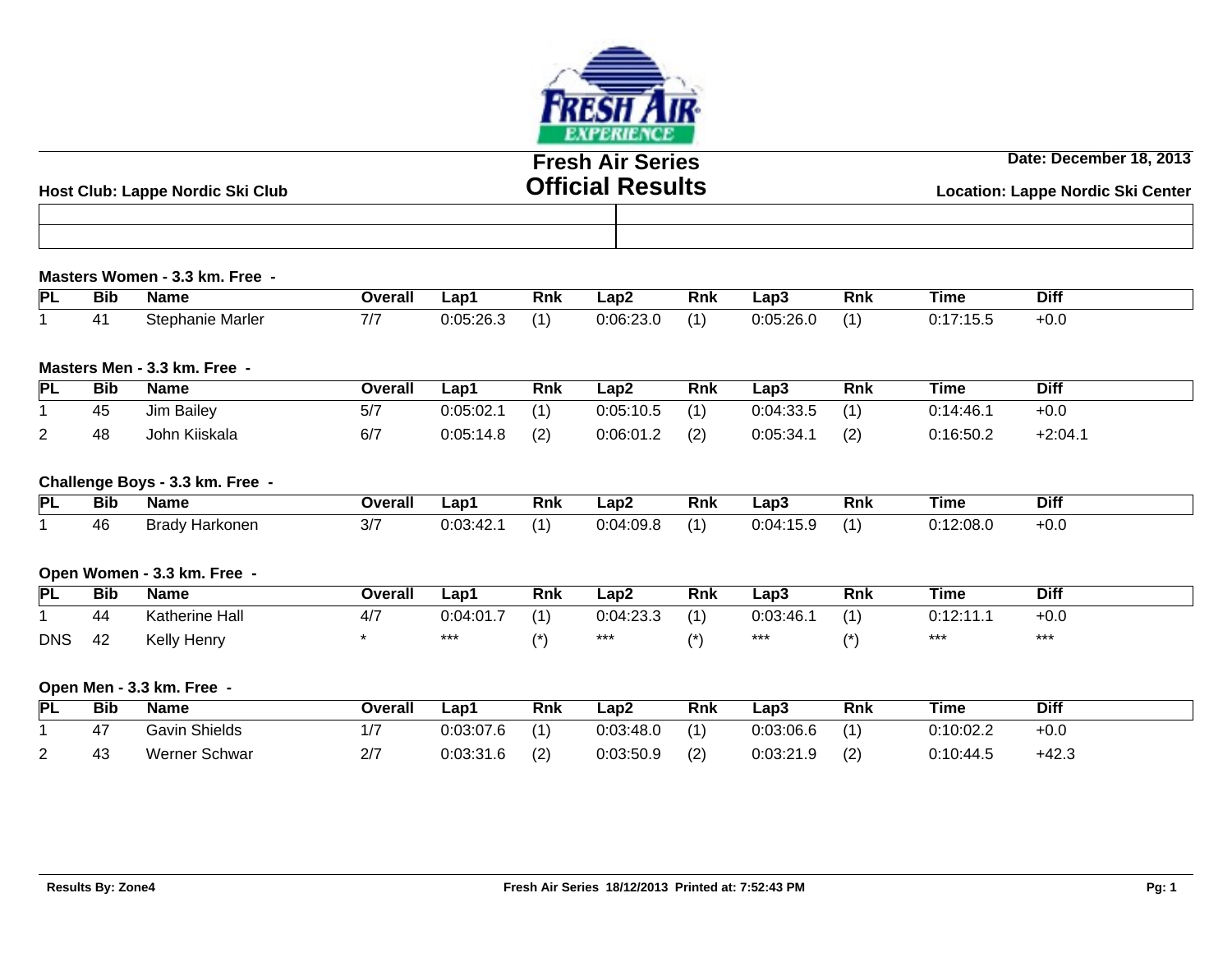

# **Fresh Air Series Official Results**

**Date: December 18, 2013**

| t Club: Lappe Nordic Ski Club<br>Host | UMICIAI RESUItS | <b>Location: Lappe Nordic Ski Center</b> |  |  |  |  |
|---------------------------------------|-----------------|------------------------------------------|--|--|--|--|
|                                       |                 |                                          |  |  |  |  |
|                                       |                 |                                          |  |  |  |  |

#### **Masters Women - 3.3 km. Free -**

| IΡI | --<br>Bib | Name                     | <b>Dverall</b> | ∟ap1                                          | <b>Rnk</b> | Lap2      | Rnk | ∟ap3      | Rnk | Time         | Diff |
|-----|-----------|--------------------------|----------------|-----------------------------------------------|------------|-----------|-----|-----------|-----|--------------|------|
|     |           | Stephanie Marler<br>חבונ |                | $\cdot \cdot \cap F$<br>$\sim$<br>. ∪:∪5:∠6.⊾ | 74         | 0:06:23.0 | ,   | 0:05:26.0 |     | . . <i>.</i> | -ט.  |

#### **Masters Men - 3.3 km. Free -**

| <b>PL</b> | <b>Bib</b> | <b>Name</b>   | Overall | $\mathsf{L}$ ap <sup>1</sup> | <b>Rnk</b> | Lap2      | Rnk | ∟ap3      | Rnk | Time      | <b>Diff</b> |
|-----------|------------|---------------|---------|------------------------------|------------|-----------|-----|-----------|-----|-----------|-------------|
|           | 45         | Jim Bailey    | 5/7     | 0:05:02.1                    | (1)        | 0:05:10.5 | (1) | 0:04:33.5 | (1) | 0:14:46.  | $+0.0$      |
|           | 48         | John Kiiskala | 6/7     | 0:05:14.8                    | (2)        | 0:06:01.2 | (2) | 0:05:34.1 | (2) | 0:16:50.2 | $+2:04.1$   |

#### **Challenge Boys - 3.3 km. Free -**

| PL | <b>Bib</b> | Name                  | Overall     | Lap'                | Rnk            | ∟ap2              | <b>Rnk</b> | ∟ap3      | Rnk | Time      | Diff   |
|----|------------|-----------------------|-------------|---------------------|----------------|-------------------|------------|-----------|-----|-----------|--------|
|    | 46         | . .<br>Brady Harkonen | <u>، اب</u> | ר⊿ינ∩י∩<br>U.UJ.4Z. | $\overline{1}$ | .J.U4 *<br>7.UJ.C | 74         | 0:04:15.9 |     | 0:12:08.0 | $+0.0$ |

### **Open Women - 3.3 km. Free -**

| PL         | <b>Bib</b> | Name                  | Overall | ∟ap1      | Rnk             | Lap2               | Rnk            | Lap3     | Rnk            | Time    | <b>Diff</b> |
|------------|------------|-----------------------|---------|-----------|-----------------|--------------------|----------------|----------|----------------|---------|-------------|
|            | 44         | <b>Katherine Hall</b> | 47,     | 0:04:01.7 | $\overline{14}$ | 0:04:23.3<br>ר.⊂⊃י | $\overline{A}$ | ):03:46. | $\overline{A}$ | ៱.៱៱.៱៱ | +0.∪        |
| <b>DNS</b> | 42         | Kelly<br>Henry        |         | ***       |                 | $***$              |                | ***      |                | ***     | ***         |

### **Open Men - 3.3 km. Free -**

| IРI                | <b>Bib</b>         | <b>Name</b>   | <b>Overall</b> | $\mathsf{L}$ ap <sup>1</sup> | Rnk | Lap2      | <b>Rnk</b> | Lap3      | <b>Rnk</b> | Time      | Diff    |
|--------------------|--------------------|---------------|----------------|------------------------------|-----|-----------|------------|-----------|------------|-----------|---------|
|                    |                    | Gavin Shields |                | 0:03:07.6                    | (1) | 0:03:48.0 | (1)        | 0:03:06.6 | (1)        | 0:10:02.2 | $+0.0$  |
| $\sim$<br><u>_</u> | $\mathbf{A}$<br>⊤∪ | Werner Schwar | 2/7            | n.no.og c<br>0.U3.3 I .O     | (2) | 0:03:50.9 | (2)        | 0:03:21.9 | (2)        | 0:10:44.5 | $+42.3$ |